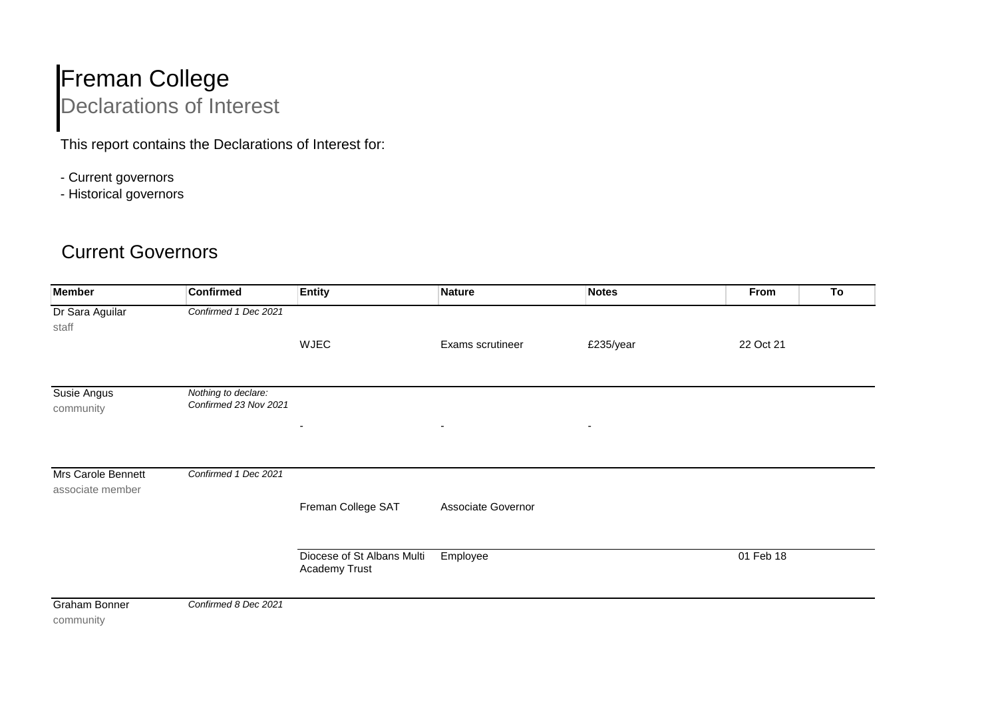## Freman College Declarations of Interest

This report contains the Declarations of Interest for:

- Current governors
- Historical governors

## Current Governors

| <b>Member</b>              | <b>Confirmed</b>                             | <b>Entity</b>                               | <b>Nature</b>            | <b>Notes</b>             | From<br>To |  |
|----------------------------|----------------------------------------------|---------------------------------------------|--------------------------|--------------------------|------------|--|
| Dr Sara Aguilar<br>staff   | Confirmed 1 Dec 2021                         |                                             |                          |                          |            |  |
|                            |                                              | WJEC                                        | Exams scrutineer         | £235/year                | 22 Oct 21  |  |
| Susie Angus<br>community   | Nothing to declare:<br>Confirmed 23 Nov 2021 | $\overline{\phantom{a}}$                    | $\overline{\phantom{a}}$ | $\overline{\phantom{a}}$ |            |  |
| Mrs Carole Bennett         | Confirmed 1 Dec 2021                         |                                             |                          |                          |            |  |
| associate member           |                                              | Freman College SAT                          | Associate Governor       |                          |            |  |
|                            |                                              | Diocese of St Albans Multi<br>Academy Trust | Employee                 |                          | 01 Feb 18  |  |
| Graham Bonner<br>community | Confirmed 8 Dec 2021                         |                                             |                          |                          |            |  |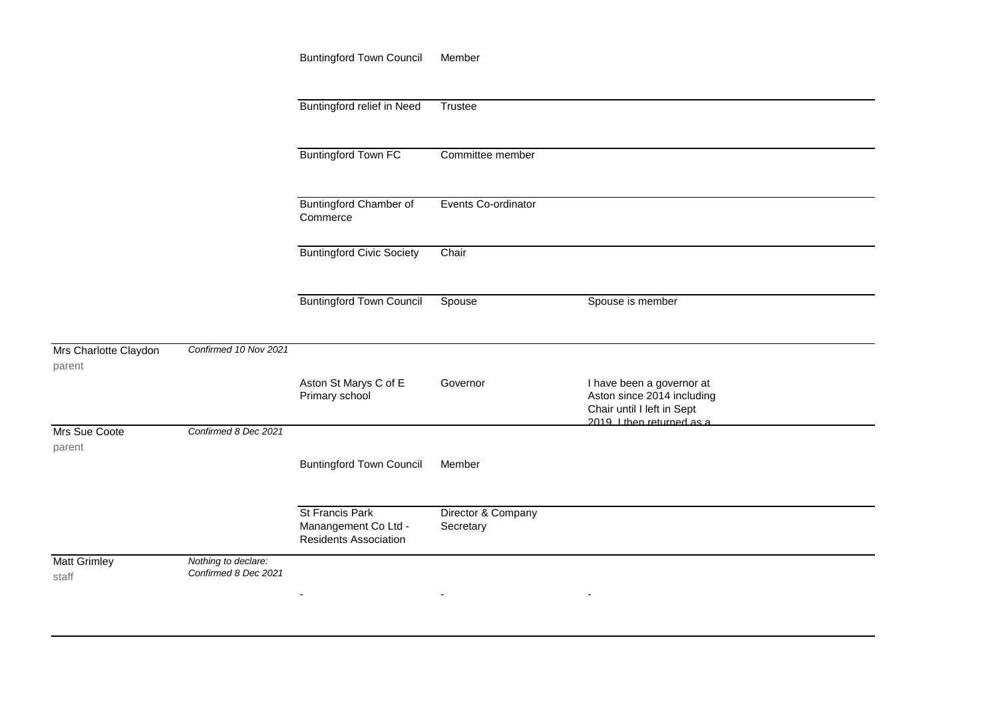|                                 |                                             | <b>Buntingford Town Council</b>                                         | Member                          |                                                                                       |  |
|---------------------------------|---------------------------------------------|-------------------------------------------------------------------------|---------------------------------|---------------------------------------------------------------------------------------|--|
|                                 |                                             |                                                                         |                                 |                                                                                       |  |
|                                 |                                             | Buntingford relief in Need                                              | Trustee                         |                                                                                       |  |
|                                 |                                             |                                                                         |                                 |                                                                                       |  |
|                                 |                                             | <b>Buntingford Town FC</b>                                              | Committee member                |                                                                                       |  |
|                                 |                                             |                                                                         |                                 |                                                                                       |  |
|                                 |                                             | <b>Buntingford Chamber of</b><br>Commerce                               | Events Co-ordinator             |                                                                                       |  |
|                                 |                                             | <b>Buntingford Civic Society</b>                                        | Chair                           |                                                                                       |  |
|                                 |                                             | <b>Buntingford Town Council</b>                                         | Spouse                          | Spouse is member                                                                      |  |
|                                 |                                             |                                                                         |                                 |                                                                                       |  |
| Mrs Charlotte Claydon<br>parent | Confirmed 10 Nov 2021                       |                                                                         |                                 |                                                                                       |  |
|                                 |                                             | Aston St Marys C of E<br>Primary school                                 | Governor                        | I have been a governor at<br>Aston since 2014 including<br>Chair until I left in Sept |  |
| Mrs Sue Coote                   | Confirmed 8 Dec 2021                        |                                                                         |                                 | 2019 I then returned as a                                                             |  |
| parent                          |                                             | <b>Buntingford Town Council</b>                                         | Member                          |                                                                                       |  |
|                                 |                                             |                                                                         |                                 |                                                                                       |  |
|                                 |                                             | St Francis Park<br>Manangement Co Ltd -<br><b>Residents Association</b> | Director & Company<br>Secretary |                                                                                       |  |
| <b>Matt Grimley</b><br>staff    | Nothing to declare:<br>Confirmed 8 Dec 2021 |                                                                         |                                 |                                                                                       |  |
|                                 |                                             |                                                                         | $\sim$                          | $\overline{\phantom{a}}$                                                              |  |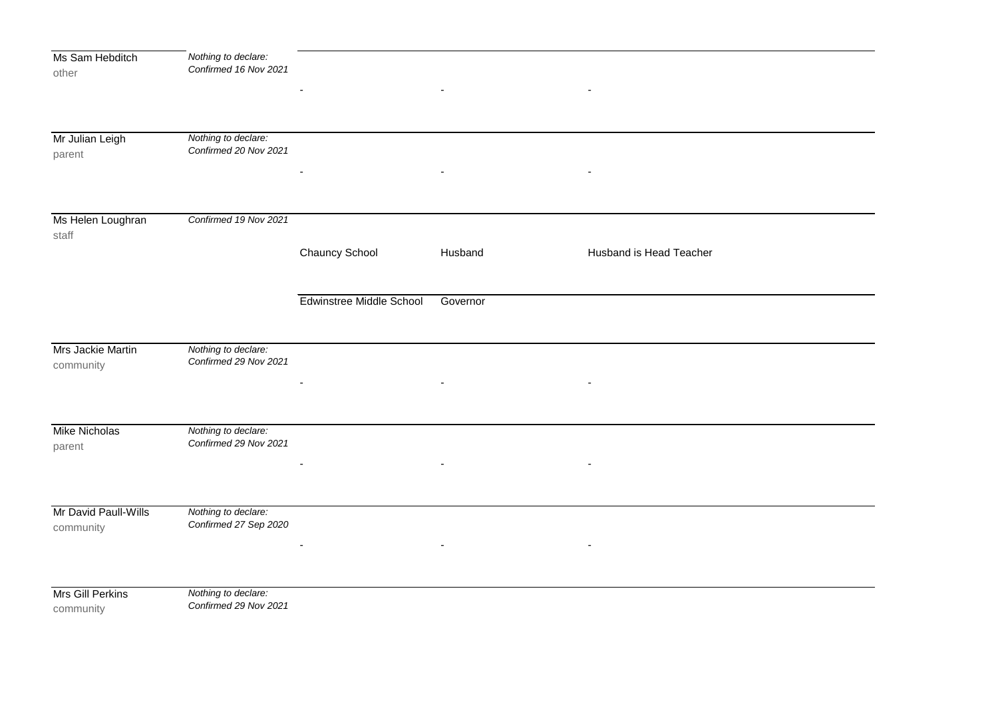| Ms Sam Hebditch      | Nothing to declare:                          |                          |                          |                          |  |
|----------------------|----------------------------------------------|--------------------------|--------------------------|--------------------------|--|
| other                | Confirmed 16 Nov 2021                        |                          |                          |                          |  |
|                      |                                              |                          |                          |                          |  |
|                      |                                              |                          |                          |                          |  |
|                      |                                              |                          |                          |                          |  |
| Mr Julian Leigh      | Nothing to declare:                          |                          |                          |                          |  |
| parent               | Confirmed 20 Nov 2021                        |                          |                          |                          |  |
|                      |                                              |                          | $\overline{\phantom{a}}$ | $\overline{\phantom{a}}$ |  |
|                      |                                              |                          |                          |                          |  |
|                      |                                              |                          |                          |                          |  |
| Ms Helen Loughran    | Confirmed 19 Nov 2021                        |                          |                          |                          |  |
| staff                |                                              |                          |                          |                          |  |
|                      |                                              | Chauncy School           | Husband                  | Husband is Head Teacher  |  |
|                      |                                              |                          |                          |                          |  |
|                      |                                              |                          |                          |                          |  |
|                      |                                              | Edwinstree Middle School | Governor                 |                          |  |
|                      |                                              |                          |                          |                          |  |
|                      |                                              |                          |                          |                          |  |
| Mrs Jackie Martin    | Nothing to declare:                          |                          |                          |                          |  |
| community            | Confirmed 29 Nov 2021                        |                          |                          |                          |  |
|                      |                                              | $\overline{\phantom{a}}$ |                          |                          |  |
|                      |                                              |                          |                          |                          |  |
|                      |                                              |                          |                          |                          |  |
| <b>Mike Nicholas</b> | Nothing to declare:<br>Confirmed 29 Nov 2021 |                          |                          |                          |  |
| parent               |                                              |                          |                          |                          |  |
|                      |                                              |                          |                          |                          |  |
|                      |                                              |                          |                          |                          |  |
| Mr David Paull-Wills | Nothing to declare:                          |                          |                          |                          |  |
| community            | Confirmed 27 Sep 2020                        |                          |                          |                          |  |
|                      |                                              |                          |                          | $\blacksquare$           |  |
|                      |                                              |                          | $\overline{\phantom{a}}$ |                          |  |
|                      |                                              |                          |                          |                          |  |
| Mrs Gill Perkins     | Nothing to declare:                          |                          |                          |                          |  |
| community            | Confirmed 29 Nov 2021                        |                          |                          |                          |  |